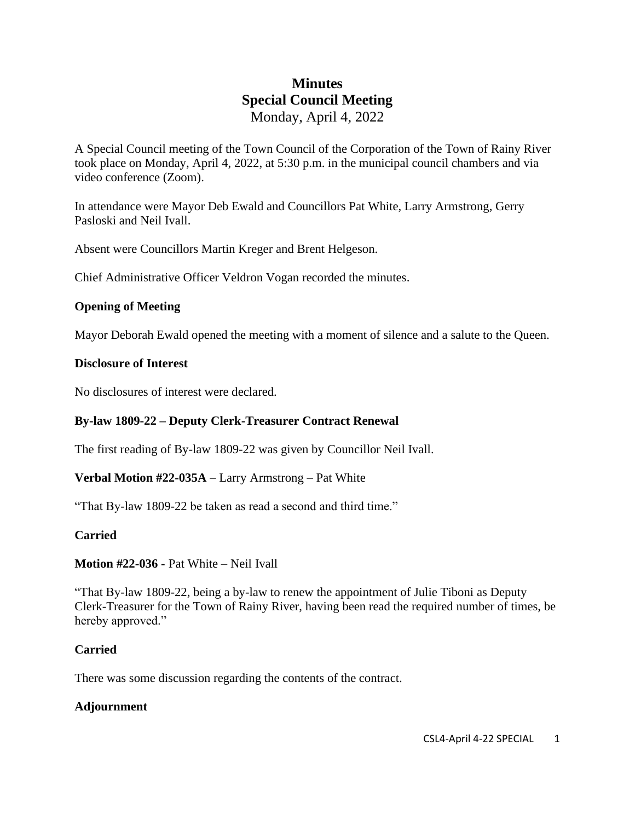# **Minutes Special Council Meeting** Monday, April 4, 2022

A Special Council meeting of the Town Council of the Corporation of the Town of Rainy River took place on Monday, April 4, 2022, at 5:30 p.m. in the municipal council chambers and via video conference (Zoom).

In attendance were Mayor Deb Ewald and Councillors Pat White, Larry Armstrong, Gerry Pasloski and Neil Ivall.

Absent were Councillors Martin Kreger and Brent Helgeson.

Chief Administrative Officer Veldron Vogan recorded the minutes.

### **Opening of Meeting**

Mayor Deborah Ewald opened the meeting with a moment of silence and a salute to the Queen.

### **Disclosure of Interest**

No disclosures of interest were declared.

### **By-law 1809-22 – Deputy Clerk-Treasurer Contract Renewal**

The first reading of By-law 1809-22 was given by Councillor Neil Ivall.

### **Verbal Motion #22-035A** – Larry Armstrong – Pat White

"That By-law 1809-22 be taken as read a second and third time."

### **Carried**

# **Motion #22-036 -** Pat White – Neil Ivall

"That By-law 1809-22, being a by-law to renew the appointment of Julie Tiboni as Deputy Clerk-Treasurer for the Town of Rainy River, having been read the required number of times, be hereby approved."

# **Carried**

There was some discussion regarding the contents of the contract.

### **Adjournment**